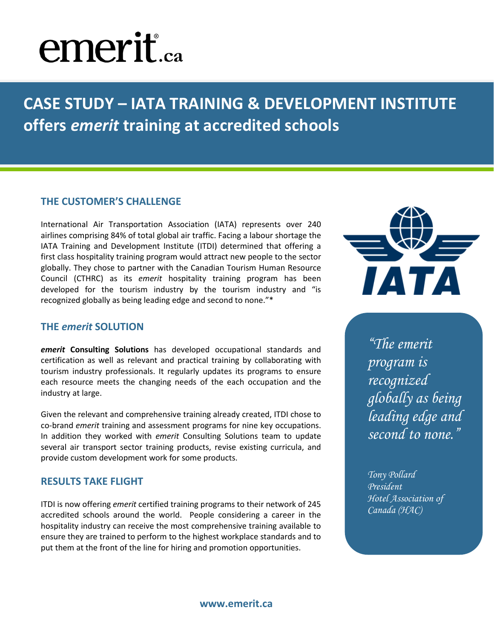# **emerit**.ca

**CASE STUDY – IATA TRAINING & DEVELOPMENT INSTITUTE offers** *emerit* **training at accredited schools**

### **THE CUSTOMER'S CHALLENGE**

International Air Transportation Association (IATA) represents over 240 airlines comprising 84% of total global air traffic. Facing a labour shortage the IATA Training and Development Institute (ITDI) determined that offering a first class hospitality training program would attract new people to the sector globally. They chose to partner with the Canadian Tourism Human Resource Council (CTHRC) as its *emerit* hospitality training program has been developed for the tourism industry by the tourism industry and "is recognized globally as being leading edge and second to none."\*

#### **THE** *emerit* **SOLUTION**

*emerit* **Consulting Solutions** has developed occupational standards and certification as well as relevant and practical training by collaborating with tourism industry professionals. It regularly updates its programs to ensure each resource meets the changing needs of the each occupation and the industry at large.

Given the relevant and comprehensive training already created, ITDI chose to co-brand *emerit* training and assessment programs for nine key occupations. In addition they worked with *emerit* Consulting Solutions team to update several air transport sector training products, revise existing curricula, and provide custom development work for some products.

### **RESULTS TAKE FLIGHT**

ITDI is now offering *emerit* certified training programs to their network of 245 accredited schools around the world. People considering a career in the hospitality industry can receive the most comprehensive training available to ensure they are trained to perform to the highest workplace standards and to put them at the front of the line for hiring and promotion opportunities.



*"The emerit program is recognized globally as being leading edge and second to none."*

*Tony Pollard President Hotel Association of Canada (HAC)*